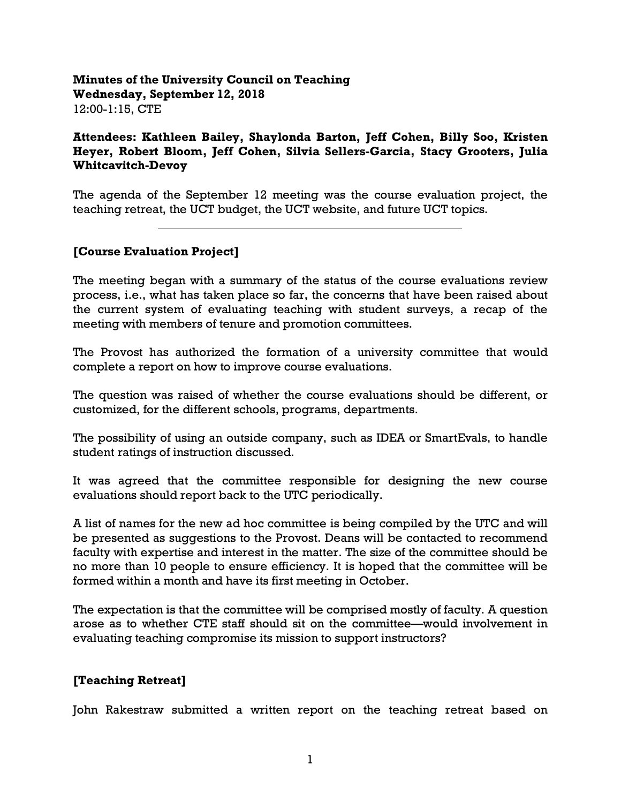### **Minutes of the University Council on Teaching Wednesday, September 12, 2018** 12:00-1:15, CTE

**Attendees: Kathleen Bailey, Shaylonda Barton, Jeff Cohen, Billy Soo, Kristen Heyer, Robert Bloom, Jeff Cohen, Silvia Sellers-Garcia, Stacy Grooters, Julia Whitcavitch-Devoy** 

The agenda of the September 12 meeting was the course evaluation project, the teaching retreat, the UCT budget, the UCT website, and future UCT topics.

## **[Course Evaluation Project]**

 $\overline{a}$ 

The meeting began with a summary of the status of the course evaluations review process, i.e., what has taken place so far, the concerns that have been raised about the current system of evaluating teaching with student surveys, a recap of the meeting with members of tenure and promotion committees.

The Provost has authorized the formation of a university committee that would complete a report on how to improve course evaluations.

The question was raised of whether the course evaluations should be different, or customized, for the different schools, programs, departments.

The possibility of using an outside company, such as IDEA or SmartEvals, to handle student ratings of instruction discussed.

It was agreed that the committee responsible for designing the new course evaluations should report back to the UTC periodically.

A list of names for the new ad hoc committee is being compiled by the UTC and will be presented as suggestions to the Provost. Deans will be contacted to recommend faculty with expertise and interest in the matter. The size of the committee should be no more than 10 people to ensure efficiency. It is hoped that the committee will be formed within a month and have its first meeting in October.

The expectation is that the committee will be comprised mostly of faculty. A question arose as to whether CTE staff should sit on the committee—would involvement in evaluating teaching compromise its mission to support instructors?

### **[Teaching Retreat]**

John Rakestraw submitted a written report on the teaching retreat based on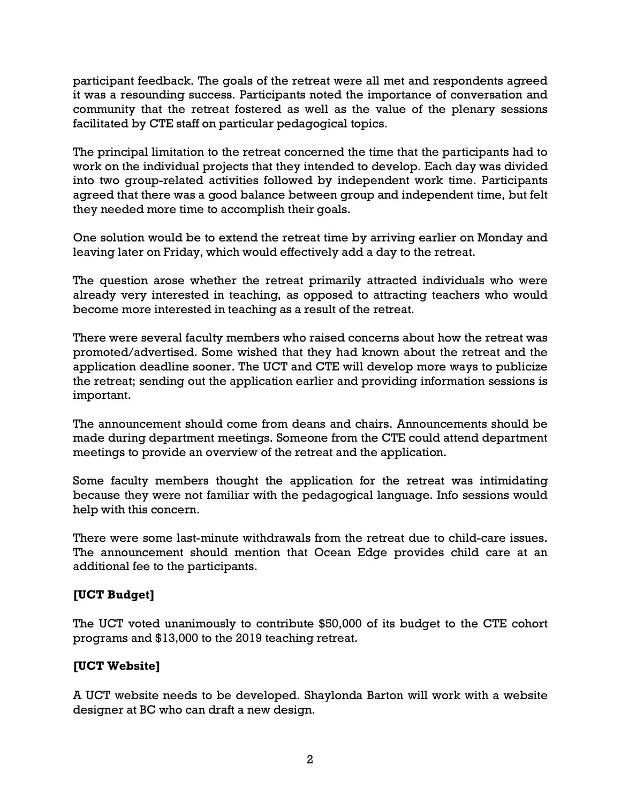participant feedback. The goals of the retreat were all met and respondents agreed it was a resounding success. Participants noted the importance of conversation and community that the retreat fostered as well as the value of the plenary sessions facilitated by CTE staff on particular pedagogical topics.

The principal limitation to the retreat concerned the time that the participants had to work on the individual projects that they intended to develop. Each day was divided into two group-related activities followed by independent work time. Participants agreed that there was a good balance between group and independent time, but felt they needed more time to accomplish their goals.

One solution would be to extend the retreat time by arriving earlier on Monday and leaving later on Friday, which would effectively add a day to the retreat.

The question arose whether the retreat primarily attracted individuals who were already very interested in teaching, as opposed to attracting teachers who would become more interested in teaching as a result of the retreat.

There were several faculty members who raised concerns about how the retreat was promoted/advertised. Some wished that they had known about the retreat and the application deadline sooner. The UCT and CTE will develop more ways to publicize the retreat; sending out the application earlier and providing information sessions is important.

The announcement should come from deans and chairs. Announcements should be made during department meetings. Someone from the CTE could attend department meetings to provide an overview of the retreat and the application.

Some faculty members thought the application for the retreat was intimidating because they were not familiar with the pedagogical language. Info sessions would help with this concern.

There were some last-minute withdrawals from the retreat due to child-care issues. The announcement should mention that Ocean Edge provides child care at an additional fee to the participants.

# **[UCT Budget]**

The UCT voted unanimously to contribute \$50,000 of its budget to the CTE cohort programs and \$13,000 to the 2019 teaching retreat.

### **[UCT Website]**

A UCT website needs to be developed. Shaylonda Barton will work with a website designer at BC who can draft a new design.